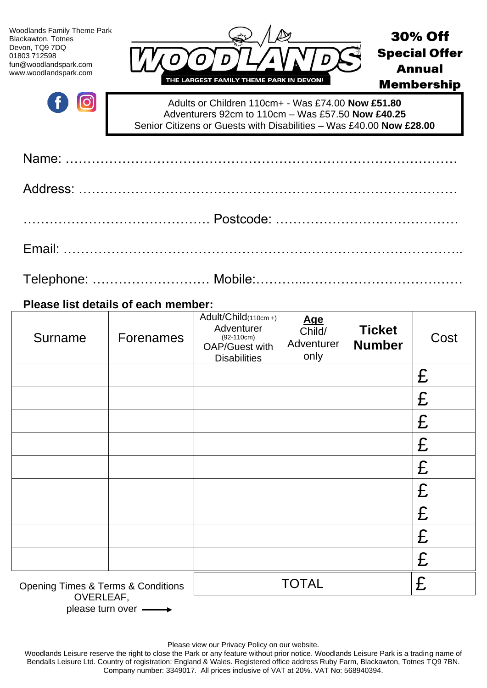| <b>Woodlands Family Theme Park</b><br>Blackawton, Totnes<br>Devon, TQ9 7DQ<br>01803 712598<br>fun@woodlandspark.com<br>www.woodlandspark.com | 0<br>THE LARGEST FAMILY THEME PARK IN DEVON!                                                                                                                                  | <b>30% Off</b><br><b>Special Offer</b><br><b>Annual</b><br><b>Membership</b> |  |  |  |  |
|----------------------------------------------------------------------------------------------------------------------------------------------|-------------------------------------------------------------------------------------------------------------------------------------------------------------------------------|------------------------------------------------------------------------------|--|--|--|--|
|                                                                                                                                              | Adults or Children 110cm+ - Was £74.00 Now £51.80<br>Adventurers 92cm to 110cm - Was £57.50 Now £40.25<br>Senior Citizens or Guests with Disabilities - Was £40.00 Now £28.00 |                                                                              |  |  |  |  |
|                                                                                                                                              |                                                                                                                                                                               |                                                                              |  |  |  |  |
|                                                                                                                                              |                                                                                                                                                                               |                                                                              |  |  |  |  |
|                                                                                                                                              |                                                                                                                                                                               |                                                                              |  |  |  |  |
|                                                                                                                                              |                                                                                                                                                                               |                                                                              |  |  |  |  |
|                                                                                                                                              |                                                                                                                                                                               |                                                                              |  |  |  |  |
| Please list details of each member:                                                                                                          |                                                                                                                                                                               |                                                                              |  |  |  |  |

| Surname                                                        | <b>Forenames</b> | Adult/Child(110cm+)<br>Adventurer<br>$(92-110cm)$<br><b>OAP/Guest with</b><br><b>Disabilities</b> | <b>Age</b><br>Child/<br>Adventurer<br>only | <b>Ticket</b><br><b>Number</b> | Cost |
|----------------------------------------------------------------|------------------|---------------------------------------------------------------------------------------------------|--------------------------------------------|--------------------------------|------|
|                                                                |                  |                                                                                                   |                                            |                                | £    |
|                                                                |                  |                                                                                                   |                                            |                                | £    |
|                                                                |                  |                                                                                                   |                                            |                                | £    |
|                                                                |                  |                                                                                                   |                                            |                                | £    |
|                                                                |                  |                                                                                                   |                                            |                                | £    |
|                                                                |                  |                                                                                                   |                                            |                                | £    |
|                                                                |                  |                                                                                                   |                                            |                                | £    |
|                                                                |                  |                                                                                                   |                                            |                                | £    |
|                                                                |                  |                                                                                                   |                                            |                                | £    |
| <b>Opening Times &amp; Terms &amp; Conditions</b><br>$\bigcap$ |                  |                                                                                                   | <b>TOTAL</b>                               |                                | £    |

OVERLEAF, please turn over  $\longrightarrow$ 

Please view our Privacy Policy on our website.

Woodlands Leisure reserve the right to close the Park or any feature without prior notice. Woodlands Leisure Park is a trading name of Bendalls Leisure Ltd. Country of registration: England & Wales. Registered office address Ruby Farm, Blackawton, Totnes TQ9 7BN. Company number: 3349017. All prices inclusive of VAT at 20%. VAT No: 568940394.